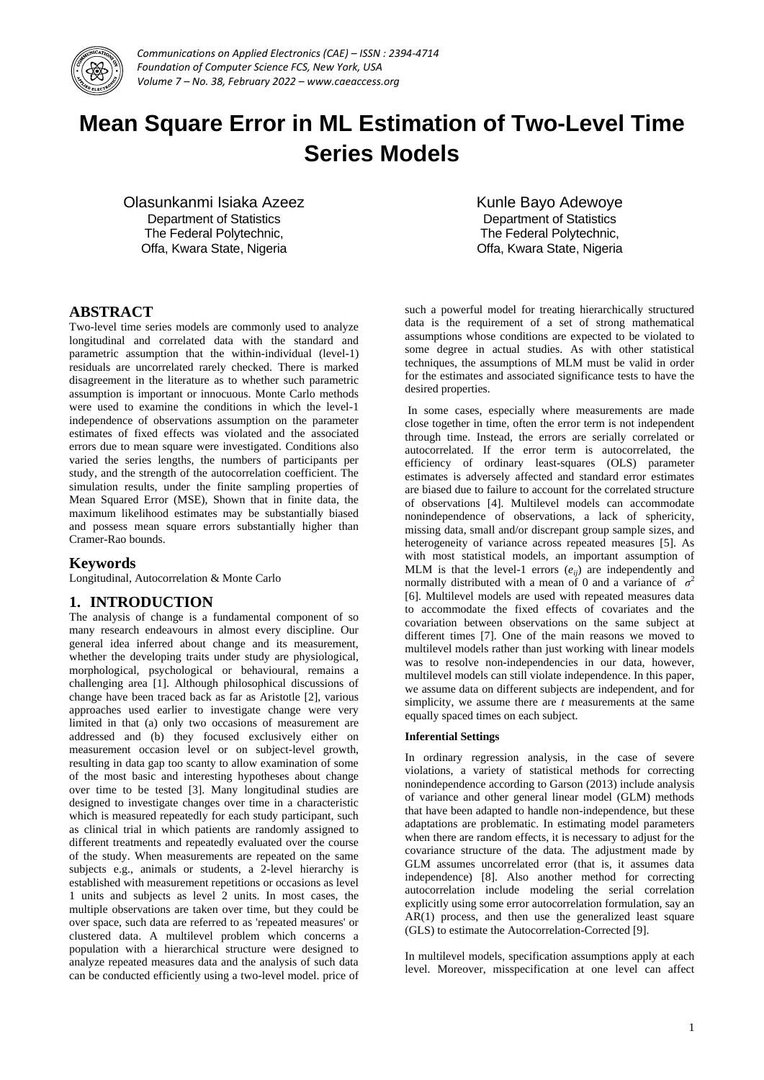

# **Mean Square Error in ML Estimation of Two-Level Time Series Models**

Olasunkanmi Isiaka Azeez Department of Statistics The Federal Polytechnic, Offa, Kwara State, Nigeria

Kunle Bayo Adewoye Department of Statistics The Federal Polytechnic, Offa, Kwara State, Nigeria

## **ABSTRACT**

Two-level time series models are commonly used to analyze longitudinal and correlated data with the standard and parametric assumption that the within-individual (level-1) residuals are uncorrelated rarely checked. There is marked disagreement in the literature as to whether such parametric assumption is important or innocuous. Monte Carlo methods were used to examine the conditions in which the level-1 independence of observations assumption on the parameter estimates of fixed effects was violated and the associated errors due to mean square were investigated. Conditions also varied the series lengths, the numbers of participants per study, and the strength of the autocorrelation coefficient. The simulation results, under the finite sampling properties of Mean Squared Error (MSE), Shown that in finite data, the maximum likelihood estimates may be substantially biased and possess mean square errors substantially higher than Cramer-Rao bounds.

## **Keywords**

Longitudinal, Autocorrelation & Monte Carlo

## **1. INTRODUCTION**

The analysis of change is a fundamental component of so many research endeavours in almost every discipline. Our general idea inferred about change and its measurement, whether the developing traits under study are physiological, morphological, psychological or behavioural, remains a challenging area [1]. Although philosophical discussions of change have been traced back as far as Aristotle [2], various approaches used earlier to investigate change were very limited in that (a) only two occasions of measurement are addressed and (b) they focused exclusively either on measurement occasion level or on subject-level growth, resulting in data gap too scanty to allow examination of some of the most basic and interesting hypotheses about change over time to be tested [3]. Many longitudinal studies are designed to investigate changes over time in a characteristic which is measured repeatedly for each study participant, such as clinical trial in which patients are randomly assigned to different treatments and repeatedly evaluated over the course of the study. When measurements are repeated on the same subjects e.g., animals or students, a 2-level hierarchy is established with measurement repetitions or occasions as level 1 units and subjects as level 2 units. In most cases, the multiple observations are taken over time, but they could be over space, such data are referred to as 'repeated measures' or clustered data. A multilevel problem which concerns a population with a hierarchical structure were designed to analyze repeated measures data and the analysis of such data can be conducted efficiently using a two-level model. price of

such a powerful model for treating hierarchically structured data is the requirement of a set of strong mathematical assumptions whose conditions are expected to be violated to some degree in actual studies. As with other statistical techniques, the assumptions of MLM must be valid in order for the estimates and associated significance tests to have the desired properties.

In some cases, especially where measurements are made close together in time, often the error term is not independent through time. Instead, the errors are serially correlated or autocorrelated. If the error term is autocorrelated, the efficiency of ordinary least-squares (OLS) parameter estimates is adversely affected and standard error estimates are biased due to failure to account for the correlated structure of observations [4]. Multilevel models can accommodate nonindependence of observations, a lack of sphericity, missing data, small and/or discrepant group sample sizes, and heterogeneity of variance across repeated measures [5]. As with most statistical models, an important assumption of MLM is that the level-1 errors  $(e_{ii})$  are independently and normally distributed with a mean of 0 and a variance of  $\sigma^2$ [6]. Multilevel models are used with repeated measures data to accommodate the fixed effects of covariates and the covariation between observations on the same subject at different times [7]. One of the main reasons we moved to multilevel models rather than just working with linear models was to resolve non-independencies in our data, however, multilevel models can still violate independence. In this paper, we assume data on different subjects are independent, and for simplicity, we assume there are *t* measurements at the same equally spaced times on each subject.

#### **Inferential Settings**

In ordinary regression analysis, in the case of severe violations, a variety of statistical methods for correcting nonindependence according to Garson (2013) include analysis of variance and other general linear model (GLM) methods that have been adapted to handle non-independence, but these adaptations are problematic. In estimating model parameters when there are random effects, it is necessary to adjust for the covariance structure of the data. The adjustment made by GLM assumes uncorrelated error (that is, it assumes data independence) [8]. Also another method for correcting autocorrelation include modeling the serial correlation explicitly using some error autocorrelation formulation, say an  $AR(1)$  process, and then use the generalized least square (GLS) to estimate the Autocorrelation-Corrected [9].

In multilevel models, specification assumptions apply at each level. Moreover, misspecification at one level can affect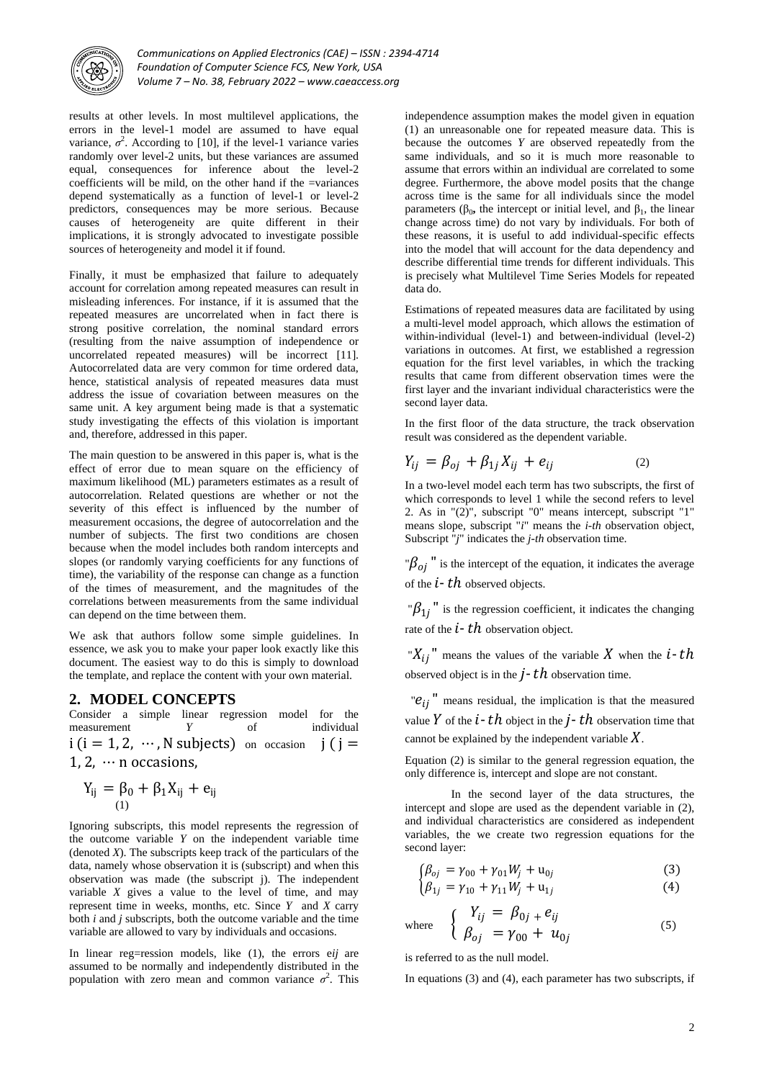

results at other levels. In most multilevel applications, the errors in the level-1 model are assumed to have equal variance,  $\sigma^2$ . According to [10], if the level-1 variance varies randomly over level-2 units, but these variances are assumed equal, consequences for inference about the level-2 coefficients will be mild, on the other hand if the =variances depend systematically as a function of level-1 or level-2 predictors, consequences may be more serious. Because causes of heterogeneity are quite different in their implications, it is strongly advocated to investigate possible sources of heterogeneity and model it if found.

Finally, it must be emphasized that failure to adequately account for correlation among repeated measures can result in misleading inferences. For instance, if it is assumed that the repeated measures are uncorrelated when in fact there is strong positive correlation, the nominal standard errors (resulting from the naive assumption of independence or uncorrelated repeated measures) will be incorrect [11]. Autocorrelated data are very common for time ordered data, hence, statistical analysis of repeated measures data must address the issue of covariation between measures on the same unit. A key argument being made is that a systematic study investigating the effects of this violation is important and, therefore, addressed in this paper.

The main question to be answered in this paper is, what is the effect of error due to mean square on the efficiency of maximum likelihood (ML) parameters estimates as a result of autocorrelation. Related questions are whether or not the severity of this effect is influenced by the number of measurement occasions, the degree of autocorrelation and the number of subjects. The first two conditions are chosen because when the model includes both random intercepts and slopes (or randomly varying coefficients for any functions of time), the variability of the response can change as a function of the times of measurement, and the magnitudes of the correlations between measurements from the same individual can depend on the time between them.

We ask that authors follow some simple guidelines. In essence, we ask you to make your paper look exactly like this document. The easiest way to do this is simply to download the template, and replace the content with your own material.

## **2. MODEL CONCEPTS**

Consider a simple linear regression model for the measurement *Y* of individual  $i$  ( $i = 1, 2, \dots, N$  subjects) on occasion  $j$  ( $j =$ 1, 2,  $\cdots$  n occasions,

$$
Y_{ij} = \beta_0 + \beta_1 X_{ij} + e_{ij}
$$

Ignoring subscripts, this model represents the regression of the outcome variable *Y* on the independent variable time (denoted *X*). The subscripts keep track of the particulars of the data, namely whose observation it is (subscript) and when this observation was made (the subscript j). The independent variable *X* gives a value to the level of time, and may represent time in weeks, months, etc. Since *Y* and *X* carry both *i* and *j* subscripts, both the outcome variable and the time variable are allowed to vary by individuals and occasions.

In linear reg=ression models, like (1), the errors e*ij* are assumed to be normally and independently distributed in the population with zero mean and common variance  $\sigma^2$ . This independence assumption makes the model given in equation (1) an unreasonable one for repeated measure data. This is because the outcomes *Y* are observed repeatedly from the same individuals, and so it is much more reasonable to assume that errors within an individual are correlated to some degree. Furthermore, the above model posits that the change across time is the same for all individuals since the model parameters ( $β_0$ , the intercept or initial level, and  $β_1$ , the linear change across time) do not vary by individuals. For both of these reasons, it is useful to add individual-specific effects into the model that will account for the data dependency and describe differential time trends for different individuals. This is precisely what Multilevel Time Series Models for repeated data do.

Estimations of repeated measures data are facilitated by using a multi-level model approach, which allows the estimation of within-individual (level-1) and between-individual (level-2) variations in outcomes. At first, we established a regression equation for the first level variables, in which the tracking results that came from different observation times were the first layer and the invariant individual characteristics were the second layer data.

In the first floor of the data structure, the track observation result was considered as the dependent variable.

$$
Y_{ij} = \beta_{oj} + \beta_{1j} X_{ij} + e_{ij} \tag{2}
$$

In a two-level model each term has two subscripts, the first of which corresponds to level 1 while the second refers to level 2. As in "(2)", subscript "0" means intercept, subscript "1" means slope, subscript "*i*" means the *i-th* observation object, Subscript "*j*" indicates the *j-th* observation time.

" $\beta_{oj}$ " is the intercept of the equation, it indicates the average of the  $i$ -th observed objects.

" $\beta_{1j}$ " is the regression coefficient, it indicates the changing rate of the  $i$  -  $th$  observation object.

" $X_{ij}$ " means the values of the variable X when the  $i$ -th observed object is in the  $j$  -  $th$  observation time.

" $e_{ij}$ " means residual, the implication is that the measured value Y of the  $i$ -  $th$  object in the  $j$ -  $th$  observation time that cannot be explained by the independent variable  $X$ .

Equation (2) is similar to the general regression equation, the only difference is, intercept and slope are not constant.

In the second layer of the data structures, the intercept and slope are used as the dependent variable in (2), and individual characteristics are considered as independent variables, the we create two regression equations for the second layer:

$$
\left(\beta_{oj} = \gamma_{00} + \gamma_{01} W_j + u_{0j}\right) \tag{3}
$$

$$
\begin{cases}\n\beta_{1j} = \gamma_{10} + \gamma_{11} W_j + \mathbf{u}_{1j} \\
(4)\n\end{cases}
$$

where 
$$
\begin{cases}\nY_{ij} = \beta_{0j} + e_{ij} \\
\beta_{oj} = \gamma_{00} + u_{0j}\n\end{cases}
$$
\n(5)

is referred to as the null model.

In equations (3) and (4), each parameter has two subscripts, if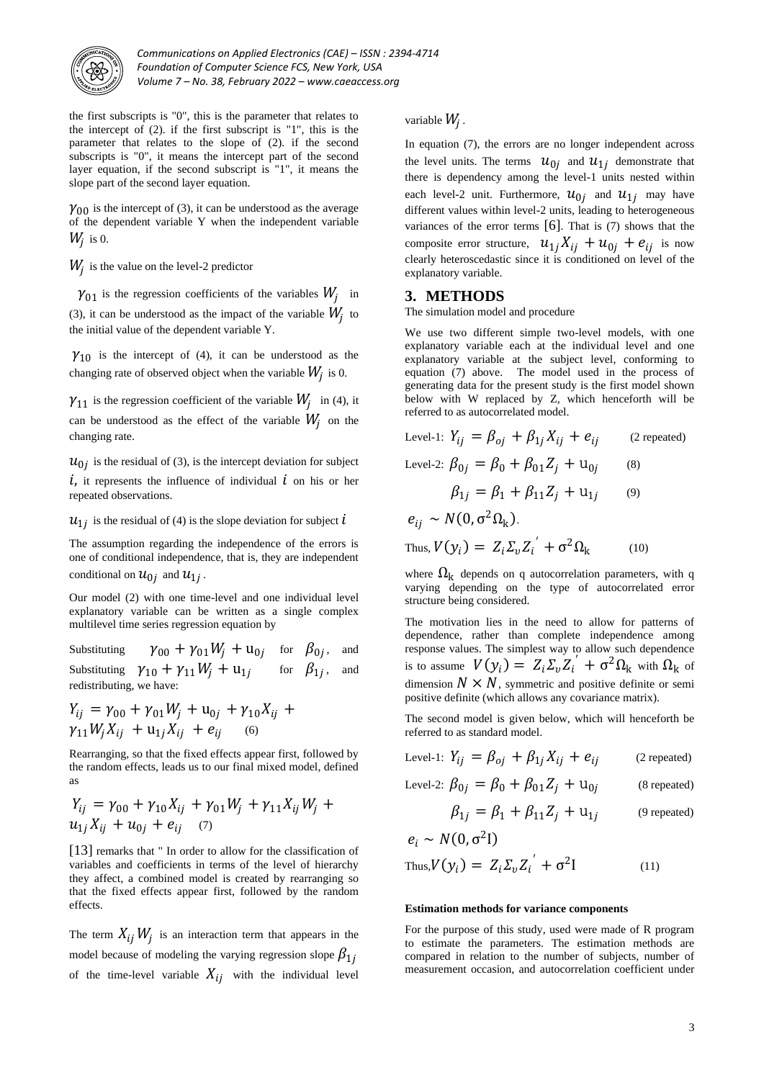

the first subscripts is "0", this is the parameter that relates to the intercept of (2). if the first subscript is "1", this is the parameter that relates to the slope of (2). if the second subscripts is "0", it means the intercept part of the second layer equation, if the second subscript is "1", it means the slope part of the second layer equation.

 $\gamma_{00}$  is the intercept of (3), it can be understood as the average of the dependent variable Y when the independent variable  $W_j$  is 0.

 $W_j$  is the value on the level-2 predictor

 $\gamma_{01}$  is the regression coefficients of the variables  $W_j$  in (3), it can be understood as the impact of the variable  $W_j$  to the initial value of the dependent variable Y.

 $\gamma_{10}$  is the intercept of (4), it can be understood as the changing rate of observed object when the variable  $W_j$  is 0.

 $\gamma_{11}$  is the regression coefficient of the variable  $W_j$  in (4), it can be understood as the effect of the variable  $W_j$  on the changing rate.

 $u_{0j}$  is the residual of (3), is the intercept deviation for subject

 $\dot{i}$ , it represents the influence of individual  $\dot{i}$  on his or her repeated observations.

 $u_{1j}$  is the residual of (4) is the slope deviation for subject  $i$ 

The assumption regarding the independence of the errors is one of conditional independence, that is, they are independent conditional on  $u_{0j}$  and  $u_{1j}$ .

Our model (2) with one time-level and one individual level explanatory variable can be written as a single complex multilevel time series regression equation by

Substituting  $\gamma_{00} + \gamma_{01} W_j + u_{0j}$  for  $\beta_{0j}$ , and Substituting  $\gamma_{10} + \gamma_{11} W_j + u_{1j}$  for  $\beta_{1j}$ , and redistributing, we have:

$$
Y_{ij} = \gamma_{00} + \gamma_{01} W_j + u_{0j} + \gamma_{10} X_{ij} + \gamma_{11} W_j X_{ij} + u_{1j} X_{ij} + e_{ij}
$$
 (6)

Rearranging, so that the fixed effects appear first, followed by the random effects, leads us to our final mixed model, defined as

$$
Y_{ij} = \gamma_{00} + \gamma_{10} X_{ij} + \gamma_{01} W_j + \gamma_{11} X_{ij} W_j + u_{1j} X_{ij} + u_{0j} + e_{ij}
$$
 (7)

[13] remarks that " In order to allow for the classification of variables and coefficients in terms of the level of hierarchy they affect, a combined model is created by rearranging so that the fixed effects appear first, followed by the random effects.

The term  $X_{ij}$   $W_j$  is an interaction term that appears in the model because of modeling the varying regression slope  $\beta_{1i}$ of the time-level variable  $X_{ij}$  with the individual level

variable  $W_j$ .

In equation (7), the errors are no longer independent across the level units. The terms  $u_{0j}$  and  $u_{1j}$  demonstrate that there is dependency among the level-1 units nested within each level-2 unit. Furthermore,  $u_{0j}$  and  $u_{1j}$  may have different values within level-2 units, leading to heterogeneous variances of the error terms  $[6]$ . That is  $(7)$  shows that the composite error structure,  $u_{1j}X_{ij} + u_{0j} + e_{ij}$  is now clearly heteroscedastic since it is conditioned on level of the explanatory variable.

#### **3. METHODS**

The simulation model and procedure

We use two different simple two-level models, with one explanatory variable each at the individual level and one explanatory variable at the subject level, conforming to equation (7) above. The model used in the process of generating data for the present study is the first model shown below with W replaced by Z, which henceforth will be referred to as autocorrelated model.

Level-1: 
$$
Y_{ij} = \beta_{oj} + \beta_{1j} X_{ij} + e_{ij}
$$
 (2 repeated)  
\nLevel-2:  $\beta_{0j} = \beta_0 + \beta_{01} Z_j + u_{0j}$  (8)  
\n $\beta_{1j} = \beta_1 + \beta_{11} Z_j + u_{1j}$  (9)  
\n $e_{ij} \sim N(0, \sigma^2 \Omega_k).$ 

Thus, 
$$
V(y_i) = Z_i \Sigma_v Z_i^{\prime} + \sigma^2 \Omega_k
$$
 (10)

where  $\Omega_{\rm k}$  depends on q autocorrelation parameters, with q varying depending on the type of autocorrelated error structure being considered.

The motivation lies in the need to allow for patterns of dependence, rather than complete independence among response values. The simplest way to allow such dependence is to assume  $V(y_i) = Z_i \Sigma_v Z_i^{'} + \sigma^2 \Omega_k$  with  $\Omega_k$  of dimension  $N \times N$ , symmetric and positive definite or semi positive definite (which allows any covariance matrix).

The second model is given below, which will henceforth be referred to as standard model.

Level-1: 
$$
Y_{ij} = \beta_{oj} + \beta_{1j} X_{ij} + e_{ij}
$$
 (2 repeated)

Level-2: 
$$
\beta_{0j} = \beta_0 + \beta_{01} Z_j + u_{0j}
$$
 (8 repeated)

$$
\beta_{1j} = \beta_1 + \beta_{11} Z_j + u_{1j} \qquad (9 \text{ repeated})
$$

$$
e_i \sim N(0, \sigma^2 I)
$$
  
Thus,  $V(y_i) = Z_i \Sigma_v Z_i' + \sigma^2 I$ 

#### **Estimation methods for variance components**

For the purpose of this study, used were made of R program to estimate the parameters. The estimation methods are compared in relation to the number of subjects, number of measurement occasion, and autocorrelation coefficient under

 $(11)$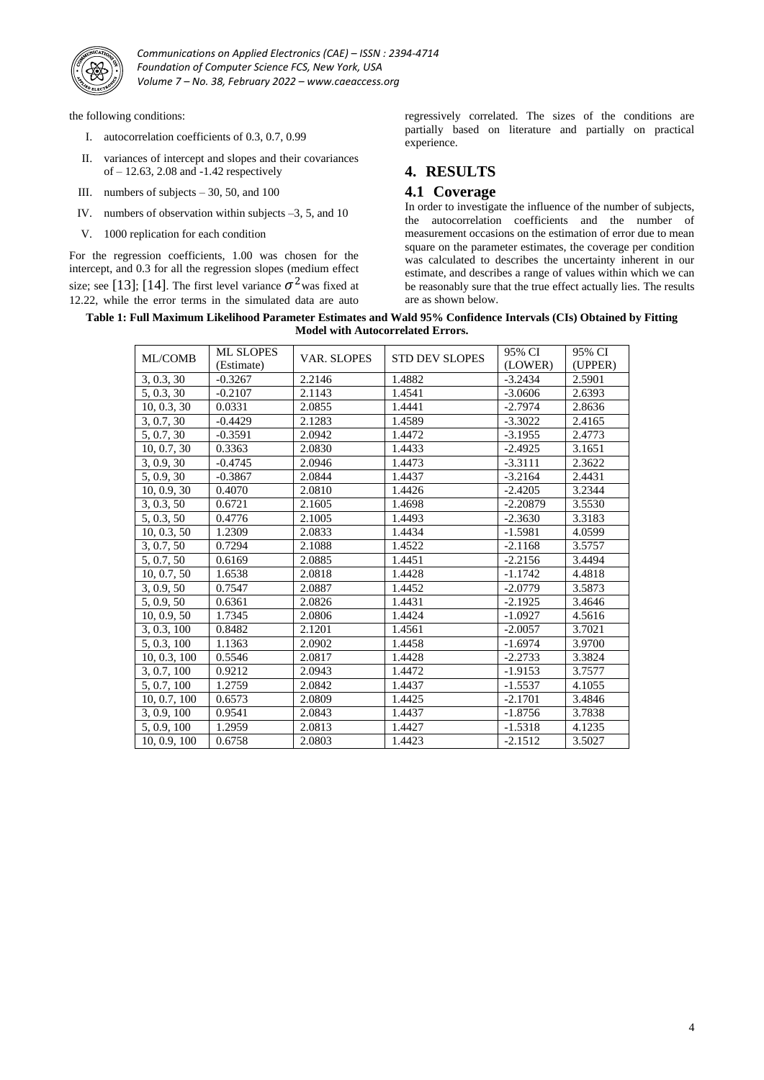

the following conditions:

- I. autocorrelation coefficients of 0.3, 0.7, 0.99
- II. variances of intercept and slopes and their covariances of – 12.63, 2.08 and -1.42 respectively
- III. numbers of subjects  $-30$ , 50, and 100
- IV. numbers of observation within subjects –3, 5, and 10
- V. 1000 replication for each condition

For the regression coefficients, 1.00 was chosen for the intercept, and 0.3 for all the regression slopes (medium effect size; see [13]; [14]. The first level variance  $\sigma^2$  was fixed at 12.22, while the error terms in the simulated data are auto

regressively correlated. The sizes of the conditions are partially based on literature and partially on practical experience.

# **4. RESULTS**

## **4.1 Coverage**

In order to investigate the influence of the number of subjects, the autocorrelation coefficients and the number of measurement occasions on the estimation of error due to mean square on the parameter estimates, the coverage per condition was calculated to describes the uncertainty inherent in our estimate, and describes a range of values within which we can be reasonably sure that the true effect actually lies. The results are as shown below.

**Table 1: Full Maximum Likelihood Parameter Estimates and Wald 95% Confidence Intervals (CIs) Obtained by Fitting Model with Autocorrelated Errors.**

| <b>ML/COMB</b> | <b>ML SLOPES</b><br>(Estimate) | <b>VAR. SLOPES</b> | <b>STD DEV SLOPES</b> | 95% CI<br>(LOWER) | 95% CI<br>(UPPER) |
|----------------|--------------------------------|--------------------|-----------------------|-------------------|-------------------|
| 3, 0.3, 30     | $-0.3267$                      | 2.2146             | 1.4882                | $-3.2434$         | 2.5901            |
| 5, 0.3, 30     | $-0.2107$                      | 2.1143             | 1.4541                | $-3.0606$         | 2.6393            |
| 10, 0.3, 30    | 0.0331                         | 2.0855             | 1.4441                | $-2.7974$         | 2.8636            |
| 3, 0.7, 30     | $-0.4429$                      | 2.1283             | 1.4589                | $-3.3022$         | 2.4165            |
| 5, 0.7, 30     | $-0.3591$                      | 2.0942             | 1.4472                | $-3.1955$         | 2.4773            |
| 10, 0.7, 30    | 0.3363                         | 2.0830             | 1.4433                | $-2.4925$         | 3.1651            |
| 3, 0.9, 30     | $-0.4745$                      | 2.0946             | 1.4473                | $-3.3111$         | 2.3622            |
| 5, 0.9, 30     | $-0.3867$                      | 2.0844             | 1.4437                | $-3.2164$         | 2.4431            |
| 10, 0.9, 30    | 0.4070                         | 2.0810             | 1.4426                | $-2.4205$         | 3.2344            |
| 3, 0.3, 50     | 0.6721                         | 2.1605             | 1.4698                | $-2.20879$        | 3.5530            |
| 5, 0.3, 50     | 0.4776                         | 2.1005             | 1.4493                | $-2.3630$         | 3.3183            |
| 10, 0.3, 50    | 1.2309                         | 2.0833             | 1.4434                | $-1.5981$         | 4.0599            |
| 3, 0.7, 50     | 0.7294                         | 2.1088             | 1.4522                | $-2.1168$         | 3.5757            |
| 5, 0.7, 50     | 0.6169                         | 2.0885             | 1.4451                | $-2.2156$         | 3.4494            |
| 10, 0.7, 50    | 1.6538                         | 2.0818             | 1.4428                | $-1.1742$         | 4.4818            |
| 3, 0.9, 50     | 0.7547                         | 2.0887             | 1.4452                | $-2.0779$         | 3.5873            |
| 5, 0.9, 50     | 0.6361                         | 2.0826             | 1.4431                | $-2.1925$         | 3.4646            |
| 10, 0.9, 50    | 1.7345                         | 2.0806             | 1.4424                | $-1.0927$         | 4.5616            |
| 3, 0.3, 100    | 0.8482                         | 2.1201             | 1.4561                | $-2.0057$         | 3.7021            |
| 5, 0.3, 100    | 1.1363                         | 2.0902             | 1.4458                | $-1.6974$         | 3.9700            |
| 10, 0.3, 100   | 0.5546                         | 2.0817             | 1.4428                | $-2.2733$         | 3.3824            |
| 3, 0.7, 100    | 0.9212                         | 2.0943             | 1.4472                | $-1.9153$         | 3.7577            |
| 5, 0.7, 100    | 1.2759                         | 2.0842             | 1.4437                | $-1.5537$         | 4.1055            |
| 10, 0.7, 100   | 0.6573                         | 2.0809             | 1.4425                | $-2.1701$         | 3.4846            |
| 3, 0.9, 100    | 0.9541                         | 2.0843             | 1.4437                | $-1.8756$         | 3.7838            |
| 5, 0.9, 100    | 1.2959                         | 2.0813             | 1.4427                | $-1.5318$         | 4.1235            |
| 10, 0.9, 100   | 0.6758                         | 2.0803             | 1.4423                | $-2.1512$         | 3.5027            |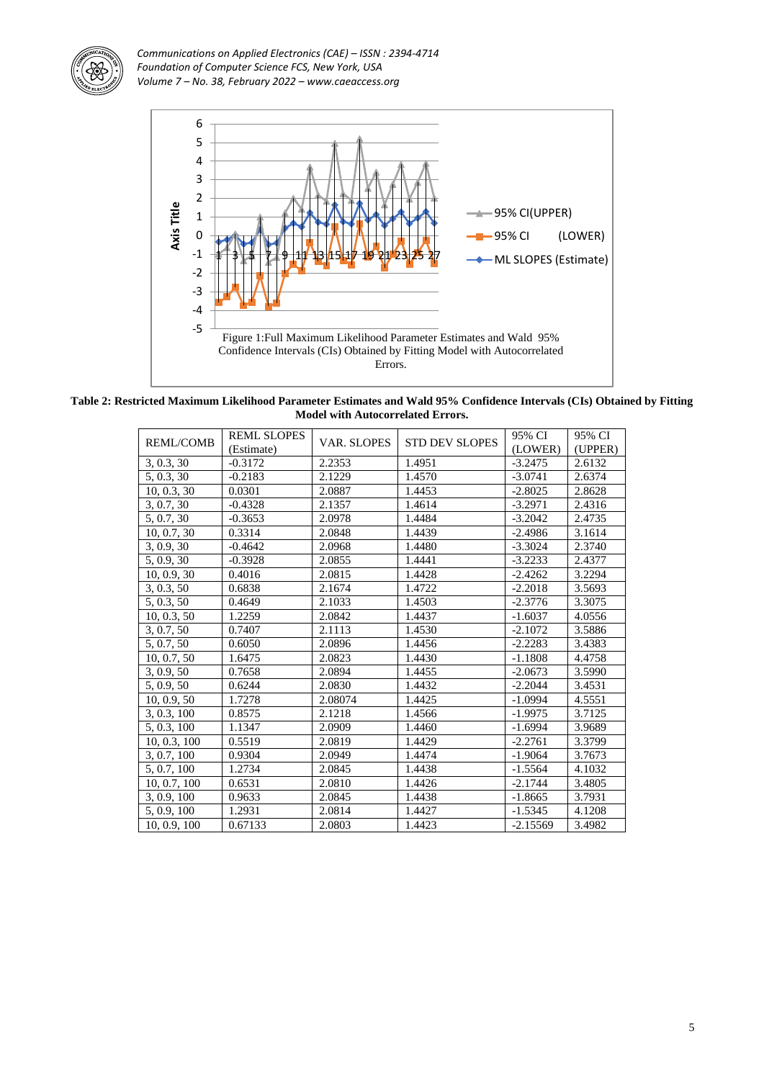



**Table 2: Restricted Maximum Likelihood Parameter Estimates and Wald 95% Confidence Intervals (CIs) Obtained by Fitting Model with Autocorrelated Errors.**

| <b>REML/COMB</b> | <b>REML SLOPES</b> | <b>VAR. SLOPES</b> | <b>STD DEV SLOPES</b> | 95% CI     | 95% CI  |  |
|------------------|--------------------|--------------------|-----------------------|------------|---------|--|
| (Estimate)       |                    |                    |                       | (LOWER)    | (UPPER) |  |
| 3, 0.3, 30       | $-0.3172$          | 2.2353             | 1.4951                | $-3.2475$  | 2.6132  |  |
| 5, 0.3, 30       | $-0.2183$          | 2.1229             | 1.4570                | $-3.0741$  | 2.6374  |  |
| 10, 0.3, 30      | 0.0301             | 2.0887             | 1.4453                | $-2.8025$  | 2.8628  |  |
| 3, 0.7, 30       | $-0.4328$          | 2.1357             | 1.4614                | $-3.2971$  | 2.4316  |  |
| 5, 0.7, 30       | $-0.3653$          | 2.0978             | 1.4484                | $-3.2042$  | 2.4735  |  |
| 10, 0.7, 30      | 0.3314             | 2.0848             | 1.4439                | $-2.4986$  | 3.1614  |  |
| 3, 0.9, 30       | $-0.4642$          | 2.0968             | 1.4480                | $-3.3024$  | 2.3740  |  |
| 5, 0.9, 30       | $-0.3928$          | 2.0855             | 1.4441                | $-3.2233$  | 2.4377  |  |
| 10, 0.9, 30      | 0.4016             | 2.0815             | 1.4428                | $-2.4262$  | 3.2294  |  |
| 3, 0.3, 50       | 0.6838             | 2.1674             | 1.4722                | $-2.2018$  | 3.5693  |  |
| 5, 0.3, 50       | 0.4649             | 2.1033             | 1.4503                | $-2.3776$  | 3.3075  |  |
| 10, 0.3, 50      | 1.2259             | 2.0842             | 1.4437                | $-1.6037$  | 4.0556  |  |
| 3, 0.7, 50       | 0.7407             | 2.1113             | 1.4530                | $-2.1072$  | 3.5886  |  |
| 5, 0.7, 50       | 0.6050             | 2.0896             | 1.4456                | $-2.2283$  | 3.4383  |  |
| 10, 0.7, 50      | 1.6475             | 2.0823             | 1.4430                | $-1.1808$  | 4.4758  |  |
| 3, 0.9, 50       | 0.7658             | 2.0894             | 1.4455                | $-2.0673$  | 3.5990  |  |
| 5, 0.9, 50       | 0.6244             | 2.0830             | 1.4432                | $-2.2044$  | 3.4531  |  |
| 10, 0.9, 50      | 1.7278             | 2.08074            | 1.4425                | $-1.0994$  | 4.5551  |  |
| 3, 0.3, 100      | 0.8575             | 2.1218             | 1.4566                | $-1.9975$  | 3.7125  |  |
| 5, 0.3, 100      | 1.1347             | 2.0909             | 1.4460                | $-1.6994$  | 3.9689  |  |
| 10, 0.3, 100     | 0.5519             | 2.0819             | 1.4429                | $-2.2761$  | 3.3799  |  |
| 3, 0.7, 100      | 0.9304             | 2.0949             | 1.4474                | $-1.9064$  | 3.7673  |  |
| 5, 0.7, 100      | 1.2734             | 2.0845             | 1.4438                | $-1.5564$  | 4.1032  |  |
| 10, 0.7, 100     | 0.6531             | 2.0810             | 1.4426                | $-2.1744$  | 3.4805  |  |
| 3, 0.9, 100      | 0.9633             | 2.0845             | 1.4438                | $-1.8665$  | 3.7931  |  |
| 5, 0.9, 100      | 1.2931             | 2.0814             | 1.4427                | $-1.5345$  | 4.1208  |  |
| 10, 0.9, 100     | 0.67133            | 2.0803             | 1.4423                | $-2.15569$ | 3.4982  |  |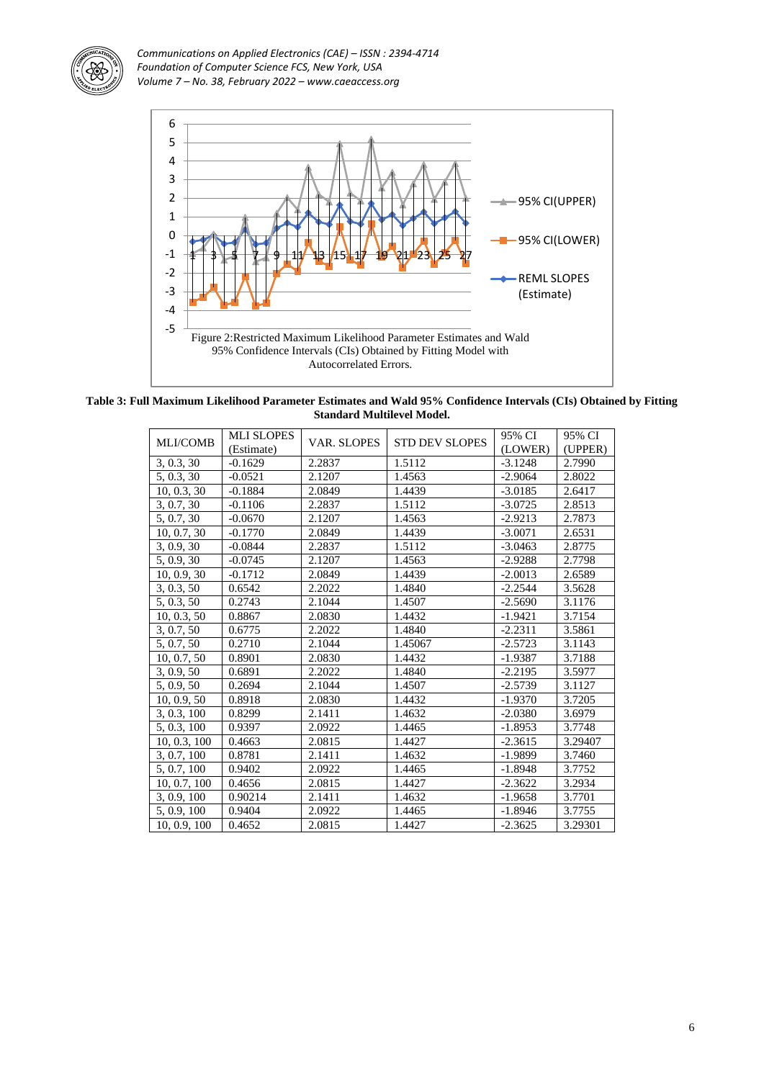



**Table 3: Full Maximum Likelihood Parameter Estimates and Wald 95% Confidence Intervals (CIs) Obtained by Fitting Standard Multilevel Model.**

| <b>MLI/COMB</b> | <b>MLI SLOPES</b> | <b>VAR. SLOPES</b> | <b>STD DEV SLOPES</b> | 95% CI    | 95% CI  |
|-----------------|-------------------|--------------------|-----------------------|-----------|---------|
|                 | (Estimate)        |                    |                       | (LOWER)   | (UPPER) |
| 3, 0.3, 30      | $-0.1629$         | 2.2837             | 1.5112                | $-3.1248$ | 2.7990  |
| 5, 0.3, 30      | $-0.0521$         | 2.1207             | 1.4563                | $-2.9064$ | 2.8022  |
| 10, 0.3, 30     | $-0.1884$         | 2.0849             | 1.4439                | $-3.0185$ | 2.6417  |
| 3, 0.7, 30      | $-0.1106$         | 2.2837             | 1.5112                | $-3.0725$ | 2.8513  |
| 5, 0.7, 30      | $-0.0670$         | 2.1207             | 1.4563                | $-2.9213$ | 2.7873  |
| 10, 0.7, 30     | $-0.1770$         | 2.0849             | 1.4439                | $-3.0071$ | 2.6531  |
| 3, 0.9, 30      | $-0.0844$         | 2.2837             | 1.5112                | $-3.0463$ | 2.8775  |
| 5, 0.9, 30      | $-0.0745$         | 2.1207             | 1.4563                | $-2.9288$ | 2.7798  |
| 10, 0.9, 30     | $-0.1712$         | 2.0849             | 1.4439                | $-2.0013$ | 2.6589  |
| 3, 0.3, 50      | 0.6542            | 2.2022             | 1.4840                | $-2.2544$ | 3.5628  |
| 5, 0.3, 50      | 0.2743            | 2.1044             | 1.4507                | $-2.5690$ | 3.1176  |
| 10, 0.3, 50     | 0.8867            | 2.0830             | 1.4432                | $-1.9421$ | 3.7154  |
| 3, 0.7, 50      | 0.6775            | 2.2022             | 1.4840                | $-2.2311$ | 3.5861  |
| 5, 0.7, 50      | 0.2710            | 2.1044             | 1.45067               | $-2.5723$ | 3.1143  |
| 10, 0.7, 50     | 0.8901            | 2.0830             | 1.4432                | $-1.9387$ | 3.7188  |
| 3, 0.9, 50      | 0.6891            | 2.2022             | 1.4840                | $-2.2195$ | 3.5977  |
| 5, 0.9, 50      | 0.2694            | 2.1044             | 1.4507                | $-2.5739$ | 3.1127  |
| 10, 0.9, 50     | 0.8918            | 2.0830             | 1.4432                | $-1.9370$ | 3.7205  |
| 3, 0.3, 100     | 0.8299            | 2.1411             | 1.4632                | $-2.0380$ | 3.6979  |
| 5, 0.3, 100     | 0.9397            | 2.0922             | 1.4465                | $-1.8953$ | 3.7748  |
| 10, 0.3, 100    | 0.4663            | 2.0815             | 1.4427                | $-2.3615$ | 3.29407 |
| 3, 0.7, 100     | 0.8781            | 2.1411             | 1.4632                | $-1.9899$ | 3.7460  |
| 5, 0.7, 100     | 0.9402            | 2.0922             | 1.4465                | $-1.8948$ | 3.7752  |
| 10, 0.7, 100    | 0.4656            | 2.0815             | 1.4427                | $-2.3622$ | 3.2934  |
| 3, 0.9, 100     | 0.90214           | 2.1411             | 1.4632                | $-1.9658$ | 3.7701  |
| 5, 0.9, 100     | 0.9404            | 2.0922             | 1.4465                | $-1.8946$ | 3.7755  |
| 10, 0.9, 100    | 0.4652            | 2.0815             | 1.4427                | $-2.3625$ | 3.29301 |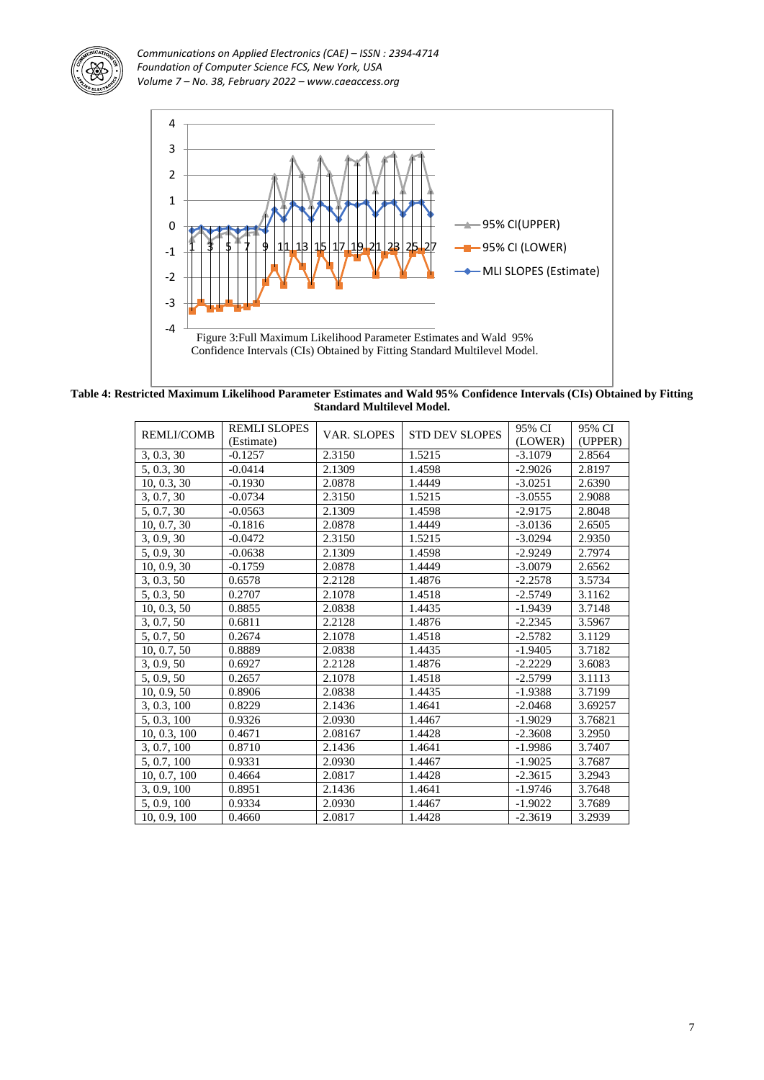



**Table 4: Restricted Maximum Likelihood Parameter Estimates and Wald 95% Confidence Intervals (CIs) Obtained by Fitting Standard Multilevel Model.**

| <b>REMLI/COMB</b> | <b>REMLI SLOPES</b><br>(Estimate) | <b>VAR. SLOPES</b> | <b>STD DEV SLOPES</b> | 95% CI<br>(LOWER) | 95% CI<br>(UPPER) |
|-------------------|-----------------------------------|--------------------|-----------------------|-------------------|-------------------|
| 3, 0.3, 30        | $-0.1257$                         | 2.3150             | 1.5215                | $-3.1079$         | 2.8564            |
| 5, 0.3, 30        | $-0.0414$                         | 2.1309             | 1.4598                | $-2.9026$         | 2.8197            |
| 10, 0.3, 30       | $-0.1930$                         | 2.0878             | 1.4449                | $-3.0251$         | 2.6390            |
| 3, 0.7, 30        | $-0.0734$                         | 2.3150             | 1.5215                | $-3.0555$         | 2.9088            |
| 5, 0.7, 30        | $-0.0563$                         | 2.1309             | 1.4598                | $-2.9175$         | 2.8048            |
| 10, 0.7, 30       | $-0.1816$                         | 2.0878             | 1.4449                | $-3.0136$         | 2.6505            |
| 3, 0.9, 30        | $-0.0472$                         | 2.3150             | 1.5215                | $-3.0294$         | 2.9350            |
| 5, 0.9, 30        | $-0.0638$                         | 2.1309             | 1.4598                | $-2.9249$         | 2.7974            |
| 10, 0.9, 30       | $-0.1759$                         | 2.0878             | 1.4449                | $-3.0079$         | 2.6562            |
| 3, 0.3, 50        | 0.6578                            | 2.2128             | 1.4876                | $-2.2578$         | 3.5734            |
| 5, 0.3, 50        | 0.2707                            | 2.1078             | 1.4518                | $-2.5749$         | 3.1162            |
| 10, 0.3, 50       | 0.8855                            | 2.0838             | 1.4435                | $-1.9439$         | 3.7148            |
| 3, 0.7, 50        | 0.6811                            | 2.2128             | 1.4876                | $-2.2345$         | 3.5967            |
| 5, 0.7, 50        | 0.2674                            | 2.1078             | 1.4518                | $-2.5782$         | 3.1129            |
| 10, 0.7, 50       | 0.8889                            | 2.0838             | 1.4435                | $-1.9405$         | 3.7182            |
| 3, 0.9, 50        | 0.6927                            | 2.2128             | 1.4876                | $-2.2229$         | 3.6083            |
| 5, 0.9, 50        | 0.2657                            | 2.1078             | 1.4518                | $-2.5799$         | 3.1113            |
| 10, 0.9, 50       | 0.8906                            | 2.0838             | 1.4435                | $-1.9388$         | 3.7199            |
| 3, 0.3, 100       | 0.8229                            | 2.1436             | 1.4641                | $-2.0468$         | 3.69257           |
| 5, 0.3, 100       | 0.9326                            | 2.0930             | 1.4467                | $-1.9029$         | 3.76821           |
| 10, 0.3, 100      | 0.4671                            | 2.08167            | 1.4428                | $-2.3608$         | 3.2950            |
| 3, 0.7, 100       | 0.8710                            | 2.1436             | 1.4641                | $-1.9986$         | 3.7407            |
| 5, 0.7, 100       | 0.9331                            | 2.0930             | 1.4467                | $-1.9025$         | 3.7687            |
| 10, 0.7, 100      | 0.4664                            | 2.0817             | 1.4428                | $-2.3615$         | 3.2943            |
| 3, 0.9, 100       | 0.8951                            | 2.1436             | 1.4641                | $-1.9746$         | 3.7648            |
| 5, 0.9, 100       | 0.9334                            | 2.0930             | 1.4467                | $-1.9022$         | 3.7689            |
| 10, 0.9, 100      | 0.4660                            | 2.0817             | 1.4428                | $-2.3619$         | 3.2939            |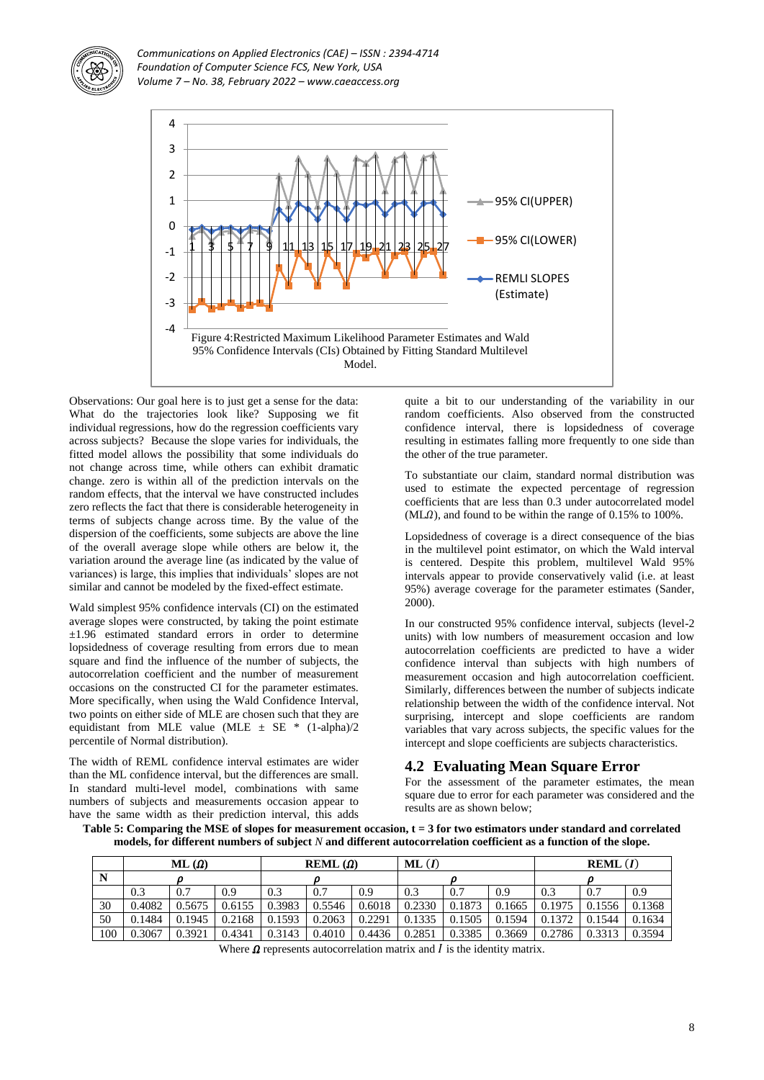



Observations: Our goal here is to just get a sense for the data: What do the trajectories look like? Supposing we fit individual regressions, how do the regression coefficients vary across subjects? Because the slope varies for individuals, the fitted model allows the possibility that some individuals do not change across time, while others can exhibit dramatic change. zero is within all of the prediction intervals on the random effects, that the interval we have constructed includes zero reflects the fact that there is considerable heterogeneity in terms of subjects change across time. By the value of the dispersion of the coefficients, some subjects are above the line of the overall average slope while others are below it, the variation around the average line (as indicated by the value of variances) is large, this implies that individuals' slopes are not similar and cannot be modeled by the fixed-effect estimate.

Wald simplest 95% confidence intervals (CI) on the estimated average slopes were constructed, by taking the point estimate ±1.96 estimated standard errors in order to determine lopsidedness of coverage resulting from errors due to mean square and find the influence of the number of subjects, the autocorrelation coefficient and the number of measurement occasions on the constructed CI for the parameter estimates. More specifically, when using the Wald Confidence Interval, two points on either side of MLE are chosen such that they are equidistant from MLE value (MLE  $\pm$  SE \* (1-alpha)/2 percentile of Normal distribution).

The width of REML confidence interval estimates are wider than the ML confidence interval, but the differences are small. In standard multi-level model, combinations with same numbers of subjects and measurements occasion appear to have the same width as their prediction interval, this adds

quite a bit to our understanding of the variability in our random coefficients. Also observed from the constructed confidence interval, there is lopsidedness of coverage resulting in estimates falling more frequently to one side than the other of the true parameter.

To substantiate our claim, standard normal distribution was used to estimate the expected percentage of regression coefficients that are less than 0.3 under autocorrelated model  $(ML<sub>0</sub>)$ , and found to be within the range of 0.15% to 100%.

Lopsidedness of coverage is a direct consequence of the bias in the multilevel point estimator, on which the Wald interval is centered. Despite this problem, multilevel Wald 95% intervals appear to provide conservatively valid (i.e. at least 95%) average coverage for the parameter estimates (Sander, 2000).

In our constructed 95% confidence interval, subjects (level-2 units) with low numbers of measurement occasion and low autocorrelation coefficients are predicted to have a wider confidence interval than subjects with high numbers of measurement occasion and high autocorrelation coefficient. Similarly, differences between the number of subjects indicate relationship between the width of the confidence interval. Not surprising, intercept and slope coefficients are random variables that vary across subjects, the specific values for the intercept and slope coefficients are subjects characteristics.

## **4.2 Evaluating Mean Square Error**

For the assessment of the parameter estimates, the mean square due to error for each parameter was considered and the results are as shown below;

**Table 5: Comparing the MSE of slopes for measurement occasion, t = 3 for two estimators under standard and correlated models, for different numbers of subject** *N* **and different autocorrelation coefficient as a function of the slope.**

|     | $ML(\Omega)$ |        |        | REML $(\Omega)$ |        |        | ML(I)  |        |        | REML(I) |        |        |
|-----|--------------|--------|--------|-----------------|--------|--------|--------|--------|--------|---------|--------|--------|
|     |              |        |        |                 |        |        |        |        |        |         |        |        |
|     | 0.3          | 0.7    | 0.9    | 0.3             | 0.7    | 0.9    | 0.3    | 0.7    | 0.9    | 0.3     | 0.7    | 0.9    |
| 30  | 0.4082       | 0.5675 | 0.6155 | 0.3983          | 0.5546 | 0.6018 | 0.2330 | 0.1873 | 0.1665 | 0.1975  | 0.1556 | 0.1368 |
| 50  | 0.1484       | 0.1945 | 0.2168 | 0.1593          | 0.2063 | 0.2291 | 0.1335 | 0.1505 | 0.1594 | 0.1372  | 0.1544 | 0.1634 |
| 100 | 0.3067       | 0.3921 | 0.4341 | 0.3143          | 0.4010 | 0.4436 | 0.2851 | 0.3385 | 0.3669 | 0.2786  | 0.3313 | 0.3594 |

Where  $\Omega$  represents autocorrelation matrix and  $I$  is the identity matrix.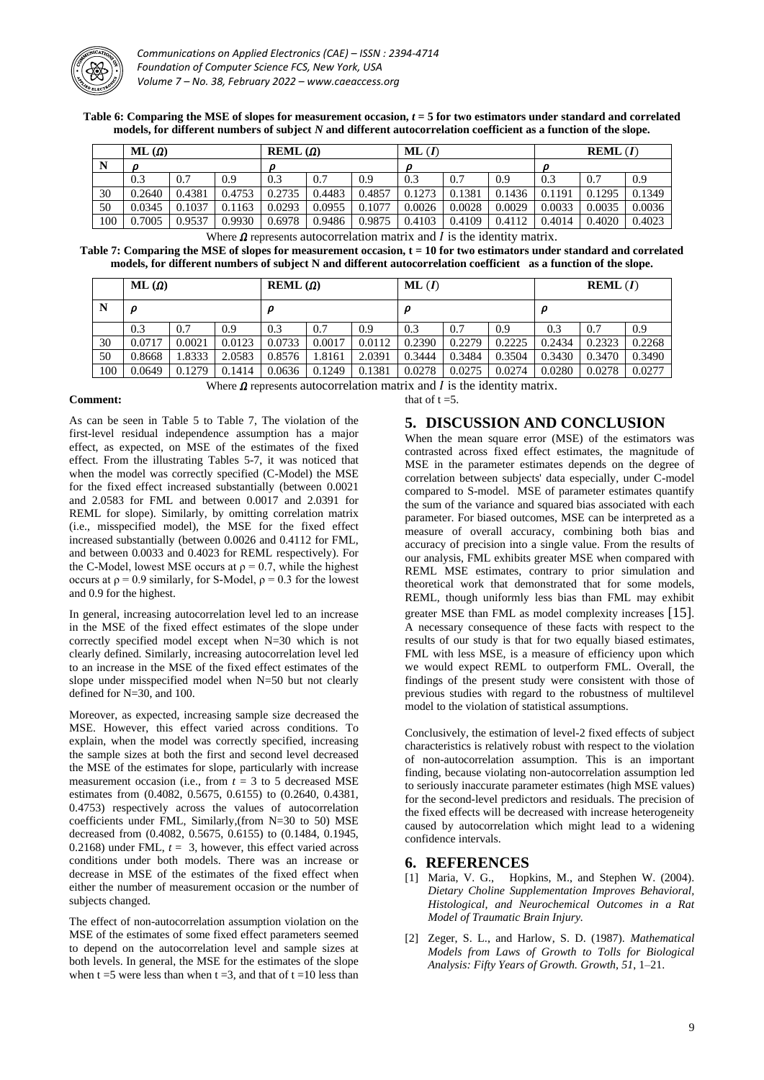

**Table 6: Comparing the MSE of slopes for measurement occasion,** *t* **= 5 for two estimators under standard and correlated models, for different numbers of subject** *N* **and different autocorrelation coefficient as a function of the slope.**

|     | $ML(\Omega)$ |        |        | $REML(\Omega)$ |        |        | ML(I)  |        |        | REML(I) |        |        |
|-----|--------------|--------|--------|----------------|--------|--------|--------|--------|--------|---------|--------|--------|
| N   |              |        |        | O              |        |        | Ω      |        |        | D       |        |        |
|     | 0.3          | 0.7    | 0.9    | 0.3            | 0.7    | 0.9    | 0.3    | 0.7    | 0.9    | 0.3     | 0.7    | 0.9    |
| 30  | 0.2640       | 0.4381 | 0.4753 | 0.2735         | 0.4483 | 0.4857 | 0.1273 | 0.1381 | 0.1436 | 0.1191  | 0.1295 | 0.1349 |
| 50  | 0.0345       | 0.1037 | 0.1163 | 0.0293         | 0.0955 | 0.1077 | 0.0026 | 0.0028 | 0.0029 | 0.0033  | 0.0035 | 0.0036 |
| 100 | 0.7005       | 0.9537 | 0.9930 | 0.6978         | 0.9486 | 0.9875 | 0.4103 | 0.4109 | 0.4112 | 0.4014  | 0.4020 | 0.4023 |

Where  $\Omega$  represents autocorrelation matrix and  $I$  is the identity matrix.

**Table 7: Comparing the MSE of slopes for measurement occasion, t = 10 for two estimators under standard and correlated models, for different numbers of subject N and different autocorrelation coefficient as a function of the slope.**

|     | $ML(\Omega)$ |        |        | REML $(\Omega)$ |        |        | ML(I)  |        |        | REML(I) |        |        |  |
|-----|--------------|--------|--------|-----------------|--------|--------|--------|--------|--------|---------|--------|--------|--|
| N   | ρ<br>ρ       |        |        |                 |        |        |        | ρ      |        |         | ρ      |        |  |
|     | 0.3          | 0.7    | 0.9    | 0.3             | 0.7    | 0.9    | 0.3    | 0.7    | 0.9    | 0.3     | 0.7    | 0.9    |  |
| 30  | 0.0717       | 0.0021 | 0.0123 | 0.0733          | 0.0017 | 0.0112 | 0.2390 | 0.2279 | 0.2225 | 0.2434  | 0.2323 | 0.2268 |  |
| 50  | 0.8668       | 1.8333 | 2.0583 | 0.8576          | .8161  | 2.0391 | 0.3444 | 0.3484 | 0.3504 | 0.3430  | 0.3470 | 0.3490 |  |
| 100 | 0.0649       | 0.1279 | 0.1414 | 0.0636          | 0.1249 | 0.1381 | 0.0278 | 0.0275 | 0.0274 | 0.0280  | 0.0278 | 0.0277 |  |

Where  $\Omega$  represents autocorrelation matrix and  $I$  is the identity matrix. that of  $t = 5$ .

#### **Comment:**

As can be seen in Table 5 to Table 7, The violation of the first-level residual independence assumption has a major effect, as expected, on MSE of the estimates of the fixed effect. From the illustrating Tables 5-7, it was noticed that when the model was correctly specified (C-Model) the MSE for the fixed effect increased substantially (between 0.0021 and 2.0583 for FML and between 0.0017 and 2.0391 for REML for slope). Similarly, by omitting correlation matrix (i.e., misspecified model), the MSE for the fixed effect increased substantially (between 0.0026 and 0.4112 for FML, and between 0.0033 and 0.4023 for REML respectively). For the C-Model, lowest MSE occurs at  $\rho = 0.7$ , while the highest occurs at  $\rho = 0.9$  similarly, for S-Model,  $\rho = 0.3$  for the lowest and 0.9 for the highest.

In general, increasing autocorrelation level led to an increase in the MSE of the fixed effect estimates of the slope under correctly specified model except when N=30 which is not clearly defined. Similarly, increasing autocorrelation level led to an increase in the MSE of the fixed effect estimates of the slope under misspecified model when N=50 but not clearly defined for N=30, and 100.

Moreover, as expected, increasing sample size decreased the MSE. However, this effect varied across conditions. To explain, when the model was correctly specified, increasing the sample sizes at both the first and second level decreased the MSE of the estimates for slope, particularly with increase measurement occasion (i.e., from  $t = 3$  to 5 decreased MSE estimates from (0.4082, 0.5675, 0.6155) to (0.2640, 0.4381, 0.4753) respectively across the values of autocorrelation coefficients under FML, Similarly,(from N=30 to 50) MSE decreased from (0.4082, 0.5675, 0.6155) to (0.1484, 0.1945, 0.2168) under FML,  $t = 3$ , however, this effect varied across conditions under both models. There was an increase or decrease in MSE of the estimates of the fixed effect when either the number of measurement occasion or the number of subjects changed.

The effect of non-autocorrelation assumption violation on the MSE of the estimates of some fixed effect parameters seemed to depend on the autocorrelation level and sample sizes at both levels. In general, the MSE for the estimates of the slope when  $t = 5$  were less than when  $t = 3$ , and that of  $t = 10$  less than

# **5. DISCUSSION AND CONCLUSION**

When the mean square error (MSE) of the estimators was contrasted across fixed effect estimates, the magnitude of MSE in the parameter estimates depends on the degree of correlation between subjects' data especially, under C-model compared to S-model. MSE of parameter estimates quantify the sum of the variance and squared bias associated with each parameter. For biased outcomes, MSE can be interpreted as a measure of overall accuracy, combining both bias and accuracy of precision into a single value. From the results of our analysis, FML exhibits greater MSE when compared with REML MSE estimates, contrary to prior simulation and theoretical work that demonstrated that for some models, REML, though uniformly less bias than FML may exhibit greater MSE than FML as model complexity increases [15]. A necessary consequence of these facts with respect to the results of our study is that for two equally biased estimates, FML with less MSE, is a measure of efficiency upon which we would expect REML to outperform FML. Overall, the findings of the present study were consistent with those of previous studies with regard to the robustness of multilevel model to the violation of statistical assumptions.

Conclusively, the estimation of level-2 fixed effects of subject characteristics is relatively robust with respect to the violation of non-autocorrelation assumption. This is an important finding, because violating non-autocorrelation assumption led to seriously inaccurate parameter estimates (high MSE values) for the second-level predictors and residuals. The precision of the fixed effects will be decreased with increase heterogeneity caused by autocorrelation which might lead to a widening confidence intervals.

## **6. REFERENCES**

- [1] Maria, V. G., Hopkins, M., and Stephen W. (2004). *Dietary Choline Supplementation Improves Behavioral, Histological, and Neurochemical Outcomes in a Rat Model of Traumatic Brain Injury.*
- [2] Zeger, S. L., and Harlow, S. D. (1987). *Mathematical Models from Laws of Growth to Tolls for Biological Analysis: Fifty Years of Growth. Growth, 51*, 1–21.